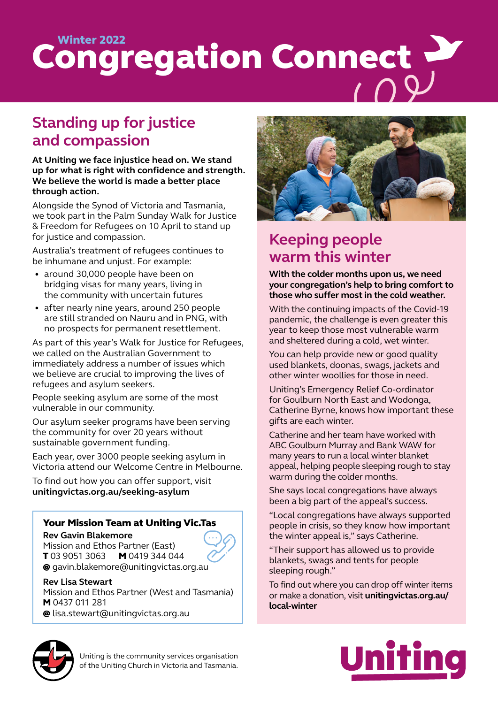# Congregation Connect

# **Standing up for justice and compassion**

**At Uniting we face injustice head on. We stand up for what is right with confidence and strength. We believe the world is made a better place through action.** 

Alongside the Synod of Victoria and Tasmania, we took part in the Palm Sunday Walk for Justice & Freedom for Refugees on 10 April to stand up for justice and compassion.

Australia's treatment of refugees continues to be inhumane and unjust. For example:

- around 30,000 people have been on bridging visas for many years, living in the community with uncertain futures
- after nearly nine years, around 250 people are still stranded on Nauru and in PNG, with no prospects for permanent resettlement.

As part of this year's Walk for Justice for Refugees, we called on the Australian Government to immediately address a number of issues which we believe are crucial to improving the lives of refugees and asylum seekers.

People seeking asylum are some of the most vulnerable in our community.

Our asylum seeker programs have been serving the community for over 20 years without sustainable government funding.

Each year, over 3000 people seeking asylum in Victoria attend our Welcome Centre in Melbourne.

To find out how you can offer support, visit **unitingvictas.org.au/seeking-asylum**

## Your Mission Team at Uniting Vic.Tas

**Rev Gavin Blakemore** Mission and Ethos Partner (East) T 03 9051 3063 M 0419 344 044 @ gavin.blakemore@unitingvictas.org.au

**Rev Lisa Stewart**  Mission and Ethos Partner (West and Tasmania) M 0437 011 281 @ lisa.stewart@unitingvictas.org.au



# **Keeping people warm this winter**

**With the colder months upon us, we need your congregation's help to bring comfort to those who suffer most in the cold weather.** 

With the continuing impacts of the Covid-19 pandemic, the challenge is even greater this year to keep those most vulnerable warm and sheltered during a cold, wet winter.

You can help provide new or good quality used blankets, doonas, swags, jackets and other winter woollies for those in need.

Uniting's Emergency Relief Co-ordinator for Goulburn North East and Wodonga, Catherine Byrne, knows how important these gifts are each winter.

Catherine and her team have worked with ABC Goulburn Murray and Bank WAW for many years to run a local winter blanket appeal, helping people sleeping rough to stay warm during the colder months.

She says local congregations have always been a big part of the appeal's success.

"Local congregations have always supported people in crisis, so they know how important the winter appeal is," says Catherine.

"Their support has allowed us to provide blankets, swags and tents for people sleeping rough."

To find out where you can drop off winter items or make a donation, visit **unitingvictas.org.au/ local-winter**



Uniting is the community services organisation of the Uniting Church in Victoria and Tasmania.